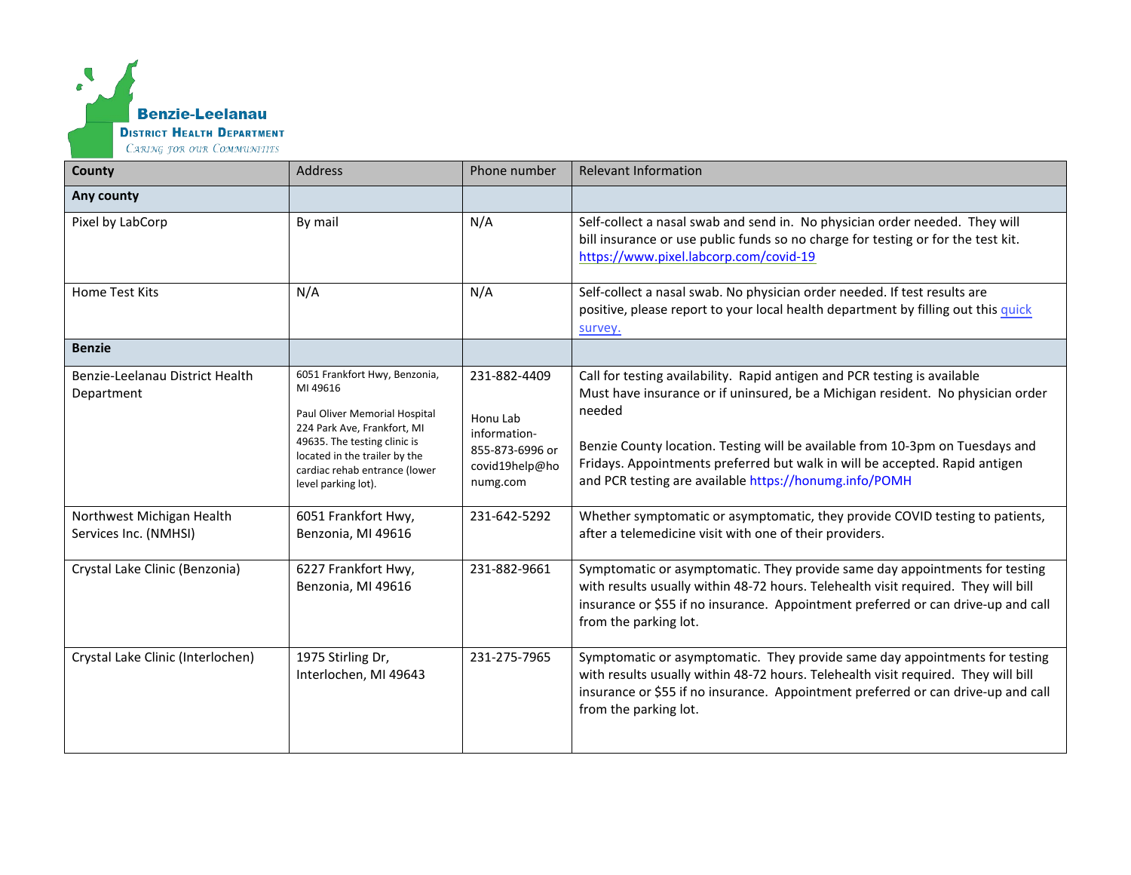

| County                                             | <b>Address</b>                                                                                                                                                                                                                     | Phone number                                                                              | <b>Relevant Information</b>                                                                                                                                                                                                                                                                                                                                                                      |
|----------------------------------------------------|------------------------------------------------------------------------------------------------------------------------------------------------------------------------------------------------------------------------------------|-------------------------------------------------------------------------------------------|--------------------------------------------------------------------------------------------------------------------------------------------------------------------------------------------------------------------------------------------------------------------------------------------------------------------------------------------------------------------------------------------------|
| Any county                                         |                                                                                                                                                                                                                                    |                                                                                           |                                                                                                                                                                                                                                                                                                                                                                                                  |
| Pixel by LabCorp                                   | By mail                                                                                                                                                                                                                            | N/A                                                                                       | Self-collect a nasal swab and send in. No physician order needed. They will<br>bill insurance or use public funds so no charge for testing or for the test kit.<br>https://www.pixel.labcorp.com/covid-19                                                                                                                                                                                        |
| <b>Home Test Kits</b>                              | N/A                                                                                                                                                                                                                                | N/A                                                                                       | Self-collect a nasal swab. No physician order needed. If test results are<br>positive, please report to your local health department by filling out this quick<br>survey.                                                                                                                                                                                                                        |
| <b>Benzie</b>                                      |                                                                                                                                                                                                                                    |                                                                                           |                                                                                                                                                                                                                                                                                                                                                                                                  |
| Benzie-Leelanau District Health<br>Department      | 6051 Frankfort Hwy, Benzonia,<br>MI 49616<br>Paul Oliver Memorial Hospital<br>224 Park Ave, Frankfort, MI<br>49635. The testing clinic is<br>located in the trailer by the<br>cardiac rehab entrance (lower<br>level parking lot). | 231-882-4409<br>Honu Lab<br>information-<br>855-873-6996 or<br>covid19help@ho<br>numg.com | Call for testing availability. Rapid antigen and PCR testing is available<br>Must have insurance or if uninsured, be a Michigan resident. No physician order<br>needed<br>Benzie County location. Testing will be available from 10-3pm on Tuesdays and<br>Fridays. Appointments preferred but walk in will be accepted. Rapid antigen<br>and PCR testing are available https://honumg.info/POMH |
| Northwest Michigan Health<br>Services Inc. (NMHSI) | 6051 Frankfort Hwy,<br>Benzonia, MI 49616                                                                                                                                                                                          | 231-642-5292                                                                              | Whether symptomatic or asymptomatic, they provide COVID testing to patients,<br>after a telemedicine visit with one of their providers.                                                                                                                                                                                                                                                          |
| Crystal Lake Clinic (Benzonia)                     | 6227 Frankfort Hwy,<br>Benzonia, MI 49616                                                                                                                                                                                          | 231-882-9661                                                                              | Symptomatic or asymptomatic. They provide same day appointments for testing<br>with results usually within 48-72 hours. Telehealth visit required. They will bill<br>insurance or \$55 if no insurance. Appointment preferred or can drive-up and call<br>from the parking lot.                                                                                                                  |
| Crystal Lake Clinic (Interlochen)                  | 1975 Stirling Dr,<br>Interlochen, MI 49643                                                                                                                                                                                         | 231-275-7965                                                                              | Symptomatic or asymptomatic. They provide same day appointments for testing<br>with results usually within 48-72 hours. Telehealth visit required. They will bill<br>insurance or \$55 if no insurance. Appointment preferred or can drive-up and call<br>from the parking lot.                                                                                                                  |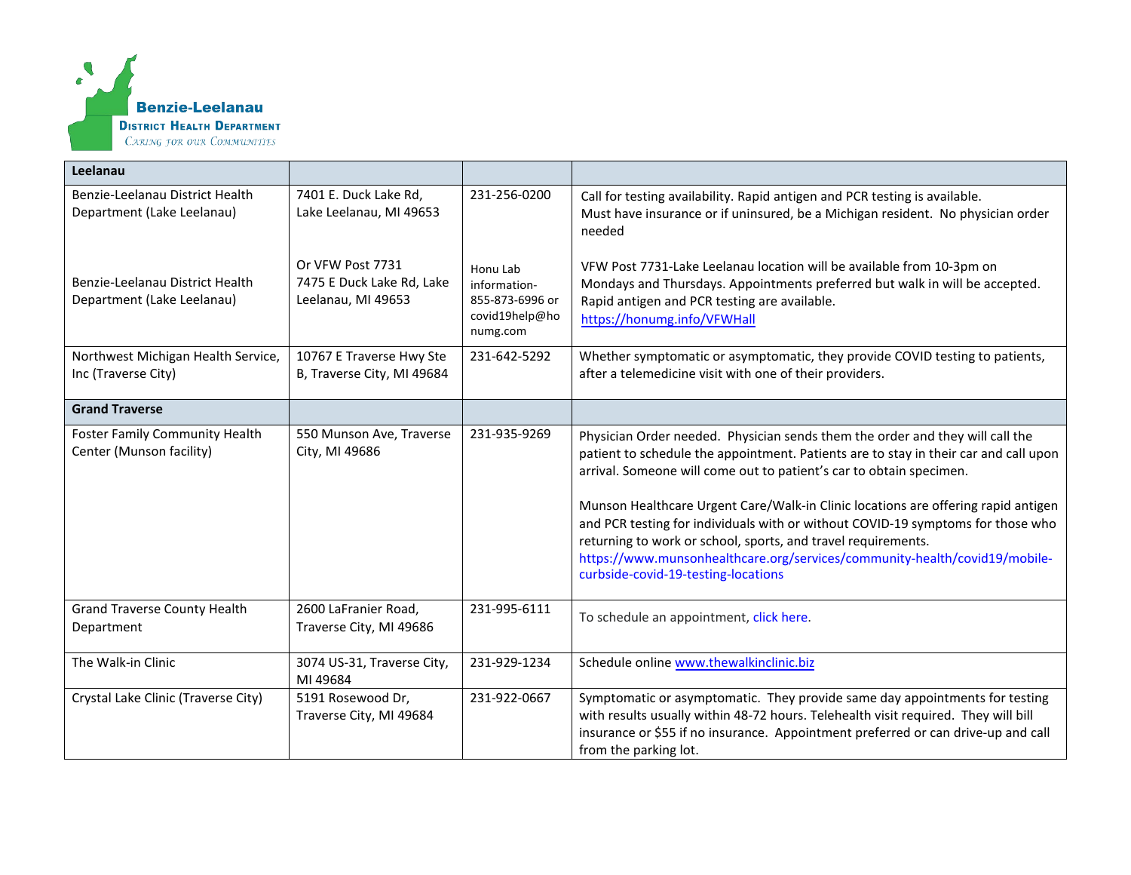

| Leelanau                                                          |                                                                     |                                                                           |                                                                                                                                                                                                                                                                                                                                                                                                                                                                                                                                                                                                            |
|-------------------------------------------------------------------|---------------------------------------------------------------------|---------------------------------------------------------------------------|------------------------------------------------------------------------------------------------------------------------------------------------------------------------------------------------------------------------------------------------------------------------------------------------------------------------------------------------------------------------------------------------------------------------------------------------------------------------------------------------------------------------------------------------------------------------------------------------------------|
| Benzie-Leelanau District Health<br>Department (Lake Leelanau)     | 7401 E. Duck Lake Rd,<br>Lake Leelanau, MI 49653                    | 231-256-0200                                                              | Call for testing availability. Rapid antigen and PCR testing is available.<br>Must have insurance or if uninsured, be a Michigan resident. No physician order<br>needed                                                                                                                                                                                                                                                                                                                                                                                                                                    |
| Benzie-Leelanau District Health<br>Department (Lake Leelanau)     | Or VFW Post 7731<br>7475 E Duck Lake Rd, Lake<br>Leelanau, MI 49653 | Honu Lab<br>information-<br>855-873-6996 or<br>covid19help@ho<br>numg.com | VFW Post 7731-Lake Leelanau location will be available from 10-3pm on<br>Mondays and Thursdays. Appointments preferred but walk in will be accepted.<br>Rapid antigen and PCR testing are available.<br>https://honumg.info/VFWHall                                                                                                                                                                                                                                                                                                                                                                        |
| Northwest Michigan Health Service,<br>Inc (Traverse City)         | 10767 E Traverse Hwy Ste<br>B, Traverse City, MI 49684              | 231-642-5292                                                              | Whether symptomatic or asymptomatic, they provide COVID testing to patients,<br>after a telemedicine visit with one of their providers.                                                                                                                                                                                                                                                                                                                                                                                                                                                                    |
| <b>Grand Traverse</b>                                             |                                                                     |                                                                           |                                                                                                                                                                                                                                                                                                                                                                                                                                                                                                                                                                                                            |
| <b>Foster Family Community Health</b><br>Center (Munson facility) | 550 Munson Ave, Traverse<br>City, MI 49686                          | 231-935-9269                                                              | Physician Order needed. Physician sends them the order and they will call the<br>patient to schedule the appointment. Patients are to stay in their car and call upon<br>arrival. Someone will come out to patient's car to obtain specimen.<br>Munson Healthcare Urgent Care/Walk-in Clinic locations are offering rapid antigen<br>and PCR testing for individuals with or without COVID-19 symptoms for those who<br>returning to work or school, sports, and travel requirements.<br>https://www.munsonhealthcare.org/services/community-health/covid19/mobile-<br>curbside-covid-19-testing-locations |
| <b>Grand Traverse County Health</b><br>Department                 | 2600 LaFranier Road,<br>Traverse City, MI 49686                     | 231-995-6111                                                              | To schedule an appointment, click here.                                                                                                                                                                                                                                                                                                                                                                                                                                                                                                                                                                    |
| The Walk-in Clinic                                                | 3074 US-31, Traverse City,<br>MI 49684                              | 231-929-1234                                                              | Schedule online www.thewalkinclinic.biz                                                                                                                                                                                                                                                                                                                                                                                                                                                                                                                                                                    |
| Crystal Lake Clinic (Traverse City)                               | 5191 Rosewood Dr,<br>Traverse City, MI 49684                        | 231-922-0667                                                              | Symptomatic or asymptomatic. They provide same day appointments for testing<br>with results usually within 48-72 hours. Telehealth visit required. They will bill<br>insurance or \$55 if no insurance. Appointment preferred or can drive-up and call<br>from the parking lot.                                                                                                                                                                                                                                                                                                                            |